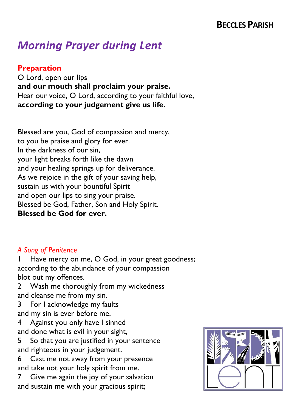## **BECCLES PARISH**

# *Morning Prayer during Lent*

#### **Preparation**

O Lord, open our lips **and our mouth shall proclaim your praise.** Hear our voice, O Lord, according to your faithful love, **according to your judgement give us life.**

Blessed are you, God of compassion and mercy, to you be praise and glory for ever. In the darkness of our sin, your light breaks forth like the dawn and your healing springs up for deliverance. As we rejoice in the gift of your saving help, sustain us with your bountiful Spirit and open our lips to sing your praise. Blessed be God, Father, Son and Holy Spirit. **Blessed be God for ever.**

#### *A Song of Penitence*

Have mercy on me, O God, in your great goodness; according to the abundance of your compassion blot out my offences.

2 Wash me thoroughly from my wickedness and cleanse me from my sin.

3 For I acknowledge my faults and my sin is ever before me.

4 Against you only have I sinned and done what is evil in your sight,

5 So that you are justified in your sentence and righteous in your judgement.

6 Cast me not away from your presence and take not your holy spirit from me.

7 Give me again the joy of your salvation and sustain me with your gracious spirit;

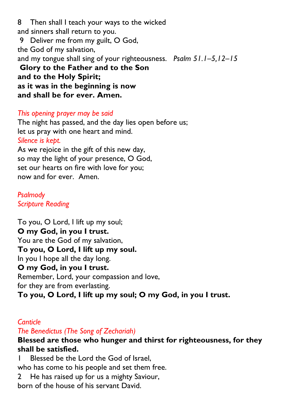8 Then shall I teach your ways to the wicked and sinners shall return to you. 9 Deliver me from my guilt, O God, the God of my salvation, and my tongue shall sing of your righteousness. *Psalm 51.1–5,12–15* **Glory to the Father and to the Son and to the Holy Spirit; as it was in the beginning is now and shall be for ever. Amen.**

#### *This opening prayer may be said*

The night has passed, and the day lies open before us; let us pray with one heart and mind. *Silence is kept.*

As we rejoice in the gift of this new day, so may the light of your presence, O God, set our hearts on fire with love for you; now and for ever. Amen.

*[Psalmody](https://www.churchofengland.org/common-material/psalter#mm13a) Scripture Reading*

To you, O Lord, I lift up my soul; **O my God, in you I trust.** You are the God of my salvation, **To you, O Lord, I lift up my soul.** In you I hope all the day long. **O my God, in you I trust.** Remember, Lord, your compassion and love, for they are from everlasting. **To you, O Lord, I lift up my soul; O my God, in you I trust.**

#### *Canticle*

## *The Benedictus (The Song of Zechariah)*

## **Blessed are those who hunger and thirst for righteousness, for they shall be satisfied.**

Blessed be the Lord the God of Israel. who has come to his people and set them free. 2 He has raised up for us a mighty Saviour, born of the house of his servant David.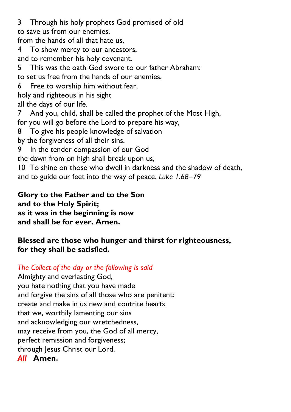3 Through his holy prophets God promised of old to save us from our enemies,

from the hands of all that hate us,

4 To show mercy to our ancestors,

and to remember his holy covenant.

5 This was the oath God swore to our father Abraham:

to set us free from the hands of our enemies,

Free to worship him without fear,

holy and righteous in his sight

all the days of our life.

7 And you, child, shall be called the prophet of the Most High,

for you will go before the Lord to prepare his way,

8 To give his people knowledge of salvation

by the forgiveness of all their sins.

9 In the tender compassion of our God

the dawn from on high shall break upon us,

10 To shine on those who dwell in darkness and the shadow of death, and to guide our feet into the way of peace. *Luke 1.68–79*

**Glory to the Father and to the Son and to the Holy Spirit; as it was in the beginning is now and shall be for ever. Amen.**

## **Blessed are those who hunger and thirst for righteousness, for they shall be satisfied.**

*The Collect of the day or the following is said*

Almighty and everlasting God, you hate nothing that you have made and forgive the sins of all those who are penitent: create and make in us new and contrite hearts that we, worthily lamenting our sins and acknowledging our wretchedness, may receive from you, the God of all mercy, perfect remission and forgiveness; through Jesus Christ our Lord. *All* **Amen.**